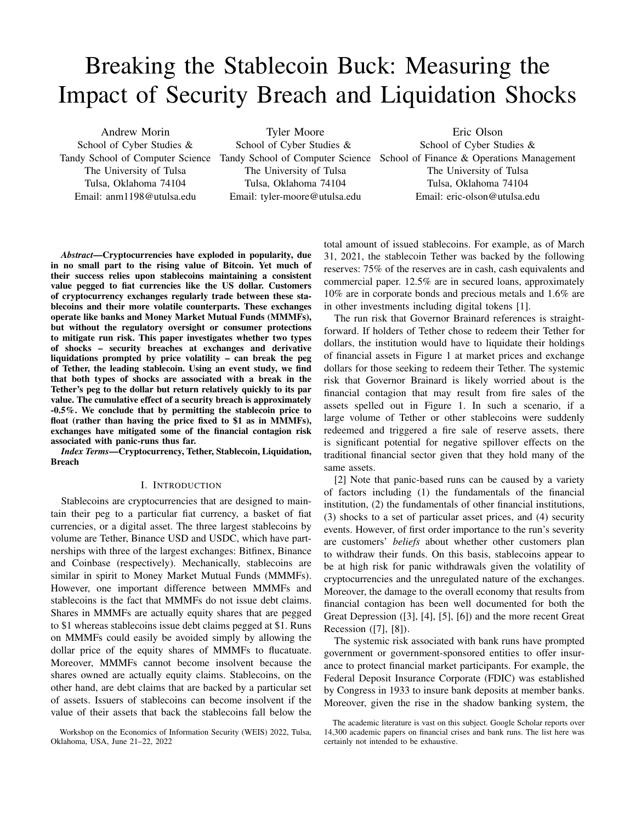# Breaking the Stablecoin Buck: Measuring the Impact of Security Breach and Liquidation Shocks

Andrew Morin School of Cyber Studies & The University of Tulsa Tulsa, Oklahoma 74104 Email: anm1198@utulsa.edu

Tyler Moore School of Cyber Studies & The University of Tulsa Tulsa, Oklahoma 74104 Email: tyler-moore@utulsa.edu

Tandy School of Computer Science Tandy School of Computer Science School of Finance & Operations Management Eric Olson School of Cyber Studies & The University of Tulsa Tulsa, Oklahoma 74104 Email: eric-olson@utulsa.edu

*Abstract*—Cryptocurrencies have exploded in popularity, due in no small part to the rising value of Bitcoin. Yet much of their success relies upon stablecoins maintaining a consistent value pegged to fiat currencies like the US dollar. Customers of cryptocurrency exchanges regularly trade between these stablecoins and their more volatile counterparts. These exchanges operate like banks and Money Market Mutual Funds (MMMFs), but without the regulatory oversight or consumer protections to mitigate run risk. This paper investigates whether two types of shocks – security breaches at exchanges and derivative liquidations prompted by price volatility – can break the peg of Tether, the leading stablecoin. Using an event study, we find that both types of shocks are associated with a break in the Tether's peg to the dollar but return relatively quickly to its par value. The cumulative effect of a security breach is approximately -0.5%. We conclude that by permitting the stablecoin price to float (rather than having the price fixed to \$1 as in MMMFs), exchanges have mitigated some of the financial contagion risk associated with panic-runs thus far.

*Index Terms*—Cryptocurrency, Tether, Stablecoin, Liquidation, Breach

## I. INTRODUCTION

Stablecoins are cryptocurrencies that are designed to maintain their peg to a particular fiat currency, a basket of fiat currencies, or a digital asset. The three largest stablecoins by volume are Tether, Binance USD and USDC, which have partnerships with three of the largest exchanges: Bitfinex, Binance and Coinbase (respectively). Mechanically, stablecoins are similar in spirit to Money Market Mutual Funds (MMMFs). However, one important difference between MMMFs and stablecoins is the fact that MMMFs do not issue debt claims. Shares in MMMFs are actually equity shares that are pegged to \$1 whereas stablecoins issue debt claims pegged at \$1. Runs on MMMFs could easily be avoided simply by allowing the dollar price of the equity shares of MMMFs to flucatuate. Moreover, MMMFs cannot become insolvent because the shares owned are actually equity claims. Stablecoins, on the other hand, are debt claims that are backed by a particular set of assets. Issuers of stablecoins can become insolvent if the value of their assets that back the stablecoins fall below the

total amount of issued stablecoins. For example, as of March 31, 2021, the stablecoin Tether was backed by the following reserves: 75% of the reserves are in cash, cash equivalents and commercial paper. 12.5% are in secured loans, approximately 10% are in corporate bonds and precious metals and 1.6% are in other investments including digital tokens [1].

The run risk that Governor Brainard references is straightforward. If holders of Tether chose to redeem their Tether for dollars, the institution would have to liquidate their holdings of financial assets in Figure 1 at market prices and exchange dollars for those seeking to redeem their Tether. The systemic risk that Governor Brainard is likely worried about is the financial contagion that may result from fire sales of the assets spelled out in Figure 1. In such a scenario, if a large volume of Tether or other stablecoins were suddenly redeemed and triggered a fire sale of reserve assets, there is significant potential for negative spillover effects on the traditional financial sector given that they hold many of the same assets.

[2] Note that panic-based runs can be caused by a variety of factors including (1) the fundamentals of the financial institution, (2) the fundamentals of other financial institutions, (3) shocks to a set of particular asset prices, and (4) security events. However, of first order importance to the run's severity are customers' *beliefs* about whether other customers plan to withdraw their funds. On this basis, stablecoins appear to be at high risk for panic withdrawals given the volatility of cryptocurrencies and the unregulated nature of the exchanges. Moreover, the damage to the overall economy that results from financial contagion has been well documented for both the Great Depression ([3], [4], [5], [6]) and the more recent Great Recession ([7], [8]).

The systemic risk associated with bank runs have prompted government or government-sponsored entities to offer insurance to protect financial market participants. For example, the Federal Deposit Insurance Corporate (FDIC) was established by Congress in 1933 to insure bank deposits at member banks. Moreover, given the rise in the shadow banking system, the

Workshop on the Economics of Information Security (WEIS) 2022, Tulsa, Oklahoma, USA, June 21–22, 2022

The academic literature is vast on this subject. Google Scholar reports over 14,300 academic papers on financial crises and bank runs. The list here was certainly not intended to be exhaustive.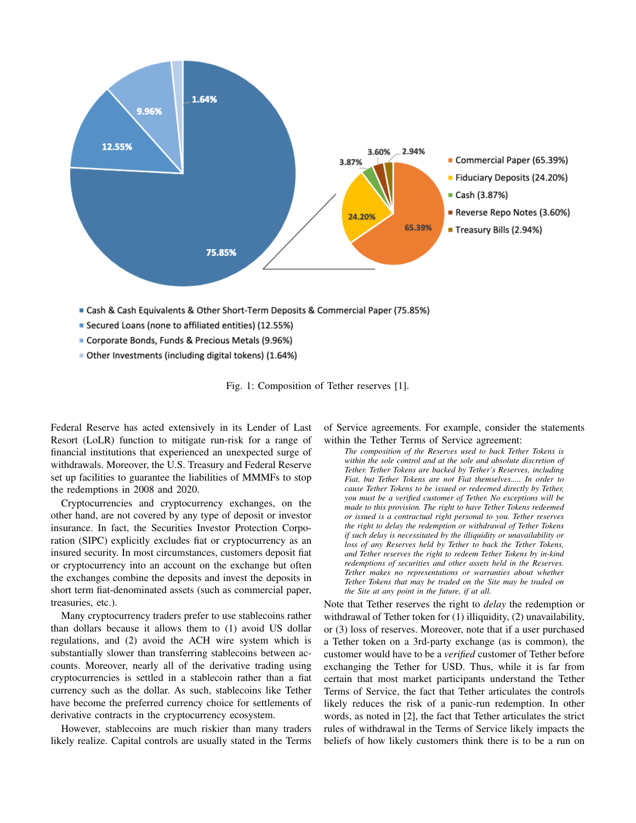

- Secured Loans (none to affiliated entities) (12.55%)
- Corporate Bonds, Funds & Precious Metals (9.96%)
- Other Investments (including digital tokens) (1.64%)

Fig. 1: Composition of Tether reserves [1].

Federal Reserve has acted extensively in its Lender of Last Resort (LoLR) function to mitigate run-risk for a range of financial institutions that experienced an unexpected surge of withdrawals. Moreover, the U.S. Treasury and Federal Reserve set up facilities to guarantee the liabilities of MMMFs to stop the redemptions in 2008 and 2020.

Cryptocurrencies and cryptocurrency exchanges, on the other hand, are not covered by any type of deposit or investor insurance. In fact, the Securities Investor Protection Corporation (SIPC) explicitly excludes fiat or cryptocurrency as an insured security. In most circumstances, customers deposit fiat or cryptocurrency into an account on the exchange but often the exchanges combine the deposits and invest the deposits in short term fiat-denominated assets (such as commercial paper, treasuries, etc.).

Many cryptocurrency traders prefer to use stablecoins rather than dollars because it allows them to (1) avoid US dollar regulations, and (2) avoid the ACH wire system which is substantially slower than transferring stablecoins between accounts. Moreover, nearly all of the derivative trading using cryptocurrencies is settled in a stablecoin rather than a fiat currency such as the dollar. As such, stablecoins like Tether have become the preferred currency choice for settlements of derivative contracts in the cryptocurrency ecosystem.

However, stablecoins are much riskier than many traders likely realize. Capital controls are usually stated in the Terms of Service agreements. For example, consider the statements within the Tether Terms of Service agreement:

*The composition of the Reserves used to back Tether Tokens is within the sole control and at the sole and absolute discretion of Tether. Tether Tokens are backed by Tether's Reserves, including Fiat, but Tether Tokens are not Fiat themselves..... In order to cause Tether Tokens to be issued or redeemed directly by Tether, you must be a verified customer of Tether. No exceptions will be made to this provision. The right to have Tether Tokens redeemed or issued is a contractual right personal to you. Tether reserves the right to delay the redemption or withdrawal of Tether Tokens if such delay is necessitated by the illiquidity or unavailability or loss of any Reserves held by Tether to back the Tether Tokens, and Tether reserves the right to redeem Tether Tokens by in-kind redemptions of securities and other assets held in the Reserves. Tether makes no representations or warranties about whether Tether Tokens that may be traded on the Site may be traded on the Site at any point in the future, if at all.*

Note that Tether reserves the right to *delay* the redemption or withdrawal of Tether token for (1) illiquidity, (2) unavailability, or (3) loss of reserves. Moreover, note that if a user purchased a Tether token on a 3rd-party exchange (as is common), the customer would have to be a *verified* customer of Tether before exchanging the Tether for USD. Thus, while it is far from certain that most market participants understand the Tether Terms of Service, the fact that Tether articulates the controls likely reduces the risk of a panic-run redemption. In other words, as noted in [2], the fact that Tether articulates the strict rules of withdrawal in the Terms of Service likely impacts the beliefs of how likely customers think there is to be a run on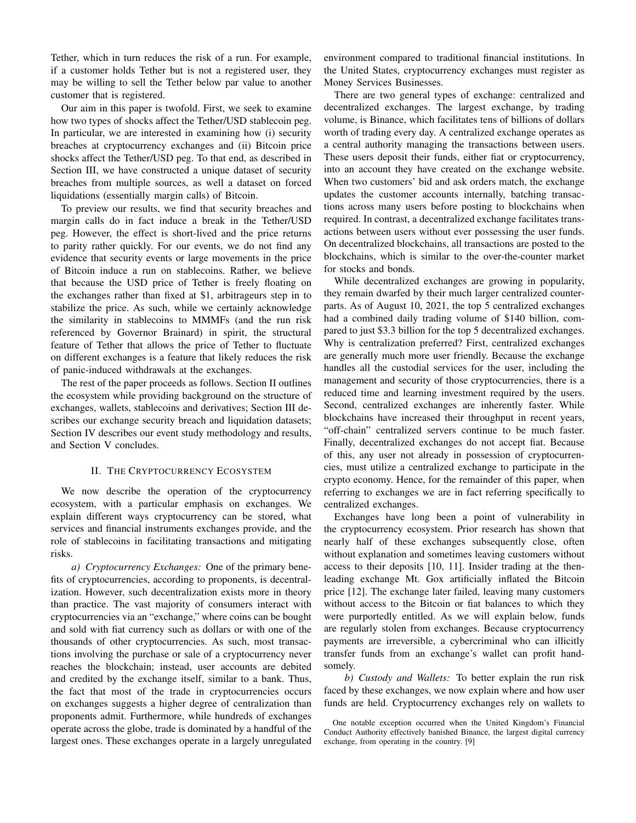Tether, which in turn reduces the risk of a run. For example, if a customer holds Tether but is not a registered user, they may be willing to sell the Tether below par value to another customer that is registered.

Our aim in this paper is twofold. First, we seek to examine how two types of shocks affect the Tether/USD stablecoin peg. In particular, we are interested in examining how (i) security breaches at cryptocurrency exchanges and (ii) Bitcoin price shocks affect the Tether/USD peg. To that end, as described in Section III, we have constructed a unique dataset of security breaches from multiple sources, as well a dataset on forced liquidations (essentially margin calls) of Bitcoin.

To preview our results, we find that security breaches and margin calls do in fact induce a break in the Tether/USD peg. However, the effect is short-lived and the price returns to parity rather quickly. For our events, we do not find any evidence that security events or large movements in the price of Bitcoin induce a run on stablecoins. Rather, we believe that because the USD price of Tether is freely floating on the exchanges rather than fixed at \$1, arbitrageurs step in to stabilize the price. As such, while we certainly acknowledge the similarity in stablecoins to MMMFs (and the run risk referenced by Governor Brainard) in spirit, the structural feature of Tether that allows the price of Tether to fluctuate on different exchanges is a feature that likely reduces the risk of panic-induced withdrawals at the exchanges.

The rest of the paper proceeds as follows. Section II outlines the ecosystem while providing background on the structure of exchanges, wallets, stablecoins and derivatives; Section III describes our exchange security breach and liquidation datasets; Section IV describes our event study methodology and results, and Section V concludes.

#### II. THE CRYPTOCURRENCY ECOSYSTEM

We now describe the operation of the cryptocurrency ecosystem, with a particular emphasis on exchanges. We explain different ways cryptocurrency can be stored, what services and financial instruments exchanges provide, and the role of stablecoins in facilitating transactions and mitigating risks.

*a) Cryptocurrency Exchanges:* One of the primary benefits of cryptocurrencies, according to proponents, is decentralization. However, such decentralization exists more in theory than practice. The vast majority of consumers interact with cryptocurrencies via an "exchange," where coins can be bought and sold with fiat currency such as dollars or with one of the thousands of other cryptocurrencies. As such, most transactions involving the purchase or sale of a cryptocurrency never reaches the blockchain; instead, user accounts are debited and credited by the exchange itself, similar to a bank. Thus, the fact that most of the trade in cryptocurrencies occurs on exchanges suggests a higher degree of centralization than proponents admit. Furthermore, while hundreds of exchanges operate across the globe, trade is dominated by a handful of the largest ones. These exchanges operate in a largely unregulated environment compared to traditional financial institutions. In the United States, cryptocurrency exchanges must register as Money Services Businesses.

There are two general types of exchange: centralized and decentralized exchanges. The largest exchange, by trading volume, is Binance, which facilitates tens of billions of dollars worth of trading every day. A centralized exchange operates as a central authority managing the transactions between users. These users deposit their funds, either fiat or cryptocurrency, into an account they have created on the exchange website. When two customers' bid and ask orders match, the exchange updates the customer accounts internally, batching transactions across many users before posting to blockchains when required. In contrast, a decentralized exchange facilitates transactions between users without ever possessing the user funds. On decentralized blockchains, all transactions are posted to the blockchains, which is similar to the over-the-counter market for stocks and bonds.

While decentralized exchanges are growing in popularity, they remain dwarfed by their much larger centralized counterparts. As of August 10, 2021, the top 5 centralized exchanges had a combined daily trading volume of \$140 billion, compared to just \$3.3 billion for the top 5 decentralized exchanges. Why is centralization preferred? First, centralized exchanges are generally much more user friendly. Because the exchange handles all the custodial services for the user, including the management and security of those cryptocurrencies, there is a reduced time and learning investment required by the users. Second, centralized exchanges are inherently faster. While blockchains have increased their throughput in recent years, "off-chain" centralized servers continue to be much faster. Finally, decentralized exchanges do not accept fiat. Because of this, any user not already in possession of cryptocurrencies, must utilize a centralized exchange to participate in the crypto economy. Hence, for the remainder of this paper, when referring to exchanges we are in fact referring specifically to centralized exchanges.

Exchanges have long been a point of vulnerability in the cryptocurrency ecosystem. Prior research has shown that nearly half of these exchanges subsequently close, often without explanation and sometimes leaving customers without access to their deposits [10, 11]. Insider trading at the thenleading exchange Mt. Gox artificially inflated the Bitcoin price [12]. The exchange later failed, leaving many customers without access to the Bitcoin or fiat balances to which they were purportedly entitled. As we will explain below, funds are regularly stolen from exchanges. Because cryptocurrency payments are irreversible, a cybercriminal who can illicitly transfer funds from an exchange's wallet can profit handsomely.

*b) Custody and Wallets:* To better explain the run risk faced by these exchanges, we now explain where and how user funds are held. Cryptocurrency exchanges rely on wallets to

One notable exception occurred when the United Kingdom's Financial Conduct Authority effectively banished Binance, the largest digital currency exchange, from operating in the country. [9]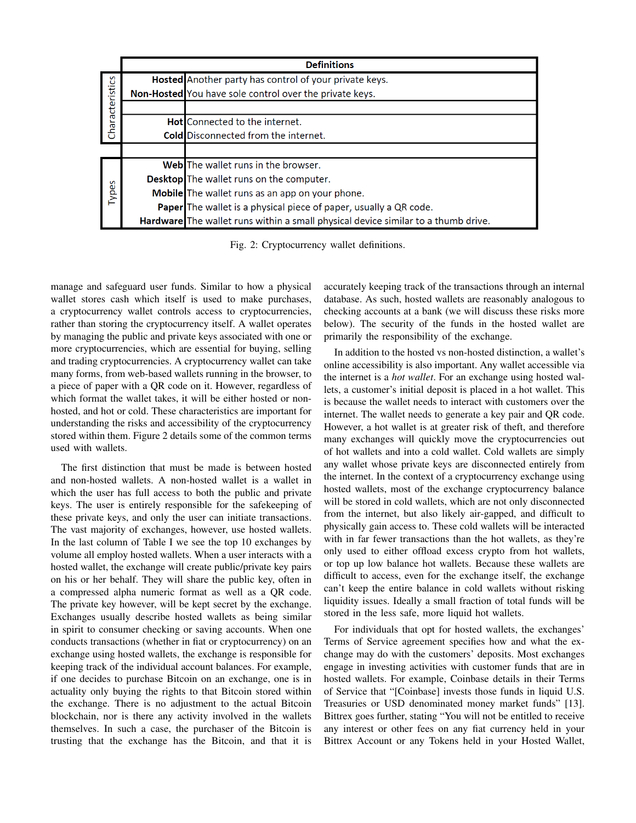|                 | <b>Definitions</b> |                                                                                   |  |  |  |  |  |
|-----------------|--------------------|-----------------------------------------------------------------------------------|--|--|--|--|--|
| Characteristics |                    | Hosted Another party has control of your private keys.                            |  |  |  |  |  |
|                 |                    | Non-Hosted You have sole control over the private keys.                           |  |  |  |  |  |
|                 |                    |                                                                                   |  |  |  |  |  |
|                 |                    | <b>HotI</b> Connected to the internet.                                            |  |  |  |  |  |
|                 |                    | <b>Cold Disconnected from the internet.</b>                                       |  |  |  |  |  |
|                 |                    |                                                                                   |  |  |  |  |  |
| Types           |                    | Web The wallet runs in the browser.                                               |  |  |  |  |  |
|                 |                    | <b>Desktop</b> The wallet runs on the computer.                                   |  |  |  |  |  |
|                 |                    | Mobile The wallet runs as an app on your phone.                                   |  |  |  |  |  |
|                 |                    | Paper The wallet is a physical piece of paper, usually a QR code.                 |  |  |  |  |  |
|                 |                    | Hardware The wallet runs within a small physical device similar to a thumb drive. |  |  |  |  |  |

Fig. 2: Cryptocurrency wallet definitions.

manage and safeguard user funds. Similar to how a physical wallet stores cash which itself is used to make purchases, a cryptocurrency wallet controls access to cryptocurrencies, rather than storing the cryptocurrency itself. A wallet operates by managing the public and private keys associated with one or more cryptocurrencies, which are essential for buying, selling and trading cryptocurrencies. A cryptocurrency wallet can take many forms, from web-based wallets running in the browser, to a piece of paper with a QR code on it. However, regardless of which format the wallet takes, it will be either hosted or nonhosted, and hot or cold. These characteristics are important for understanding the risks and accessibility of the cryptocurrency stored within them. Figure 2 details some of the common terms used with wallets.

The first distinction that must be made is between hosted and non-hosted wallets. A non-hosted wallet is a wallet in which the user has full access to both the public and private keys. The user is entirely responsible for the safekeeping of these private keys, and only the user can initiate transactions. The vast majority of exchanges, however, use hosted wallets. In the last column of Table I we see the top 10 exchanges by volume all employ hosted wallets. When a user interacts with a hosted wallet, the exchange will create public/private key pairs on his or her behalf. They will share the public key, often in a compressed alpha numeric format as well as a QR code. The private key however, will be kept secret by the exchange. Exchanges usually describe hosted wallets as being similar in spirit to consumer checking or saving accounts. When one conducts transactions (whether in fiat or cryptocurrency) on an exchange using hosted wallets, the exchange is responsible for keeping track of the individual account balances. For example, if one decides to purchase Bitcoin on an exchange, one is in actuality only buying the rights to that Bitcoin stored within the exchange. There is no adjustment to the actual Bitcoin blockchain, nor is there any activity involved in the wallets themselves. In such a case, the purchaser of the Bitcoin is trusting that the exchange has the Bitcoin, and that it is accurately keeping track of the transactions through an internal database. As such, hosted wallets are reasonably analogous to checking accounts at a bank (we will discuss these risks more below). The security of the funds in the hosted wallet are primarily the responsibility of the exchange.

In addition to the hosted vs non-hosted distinction, a wallet's online accessibility is also important. Any wallet accessible via the internet is a *hot wallet*. For an exchange using hosted wallets, a customer's initial deposit is placed in a hot wallet. This is because the wallet needs to interact with customers over the internet. The wallet needs to generate a key pair and QR code. However, a hot wallet is at greater risk of theft, and therefore many exchanges will quickly move the cryptocurrencies out of hot wallets and into a cold wallet. Cold wallets are simply any wallet whose private keys are disconnected entirely from the internet. In the context of a cryptocurrency exchange using hosted wallets, most of the exchange cryptocurrency balance will be stored in cold wallets, which are not only disconnected from the internet, but also likely air-gapped, and difficult to physically gain access to. These cold wallets will be interacted with in far fewer transactions than the hot wallets, as they're only used to either offload excess crypto from hot wallets, or top up low balance hot wallets. Because these wallets are difficult to access, even for the exchange itself, the exchange can't keep the entire balance in cold wallets without risking liquidity issues. Ideally a small fraction of total funds will be stored in the less safe, more liquid hot wallets.

For individuals that opt for hosted wallets, the exchanges' Terms of Service agreement specifies how and what the exchange may do with the customers' deposits. Most exchanges engage in investing activities with customer funds that are in hosted wallets. For example, Coinbase details in their Terms of Service that "[Coinbase] invests those funds in liquid U.S. Treasuries or USD denominated money market funds" [13]. Bittrex goes further, stating "You will not be entitled to receive any interest or other fees on any fiat currency held in your Bittrex Account or any Tokens held in your Hosted Wallet,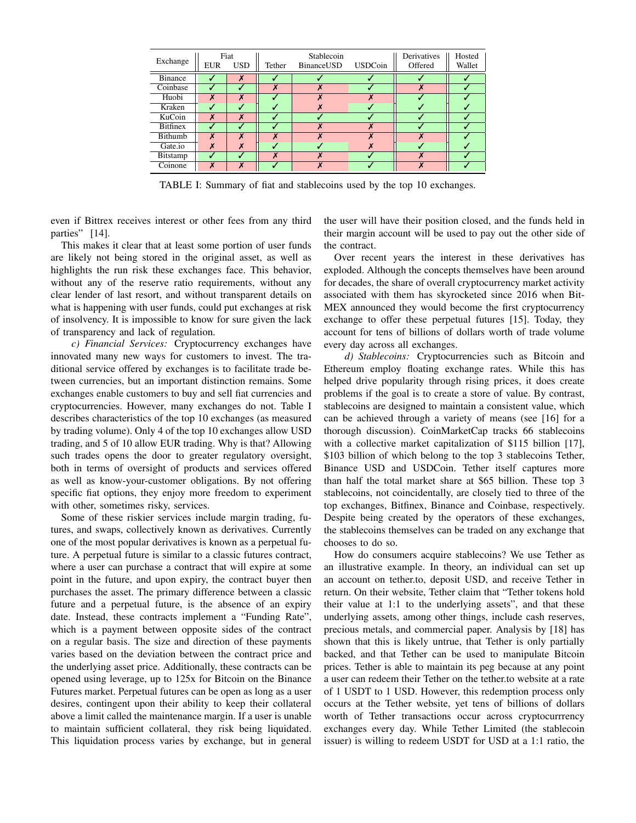| Exchange        | <b>EUR</b> | Fiat<br><b>USD</b> | Tether           | Stablecoin<br>BinanceUSD | <b>USDCoin</b> | Derivatives<br>Offered | Hosted<br>Wallet |
|-----------------|------------|--------------------|------------------|--------------------------|----------------|------------------------|------------------|
| <b>Binance</b>  |            | $\boldsymbol{x}$   |                  |                          |                |                        |                  |
| Coinbase        |            |                    | $\boldsymbol{x}$ |                          |                | X                      |                  |
| Huobi           | X          | X                  |                  |                          |                |                        |                  |
| Kraken          |            |                    |                  |                          |                |                        |                  |
| KuCoin          | X          | X                  |                  |                          |                |                        |                  |
| <b>Bitfinex</b> |            |                    |                  |                          |                |                        |                  |
| Bithumb         | X          | X                  | X                |                          |                |                        |                  |
| Gate.io         | X          | X                  |                  |                          |                |                        |                  |
| Bitstamp        |            |                    | X                |                          |                |                        |                  |
| Coinone         | X          | X                  |                  |                          |                |                        |                  |

TABLE I: Summary of fiat and stablecoins used by the top 10 exchanges.

even if Bittrex receives interest or other fees from any third parties" [14].

This makes it clear that at least some portion of user funds are likely not being stored in the original asset, as well as highlights the run risk these exchanges face. This behavior, without any of the reserve ratio requirements, without any clear lender of last resort, and without transparent details on what is happening with user funds, could put exchanges at risk of insolvency. It is impossible to know for sure given the lack of transparency and lack of regulation.

*c) Financial Services:* Cryptocurrency exchanges have innovated many new ways for customers to invest. The traditional service offered by exchanges is to facilitate trade between currencies, but an important distinction remains. Some exchanges enable customers to buy and sell fiat currencies and cryptocurrencies. However, many exchanges do not. Table I describes characteristics of the top 10 exchanges (as measured by trading volume). Only 4 of the top 10 exchanges allow USD trading, and 5 of 10 allow EUR trading. Why is that? Allowing such trades opens the door to greater regulatory oversight, both in terms of oversight of products and services offered as well as know-your-customer obligations. By not offering specific fiat options, they enjoy more freedom to experiment with other, sometimes risky, services.

Some of these riskier services include margin trading, futures, and swaps, collectively known as derivatives. Currently one of the most popular derivatives is known as a perpetual future. A perpetual future is similar to a classic futures contract, where a user can purchase a contract that will expire at some point in the future, and upon expiry, the contract buyer then purchases the asset. The primary difference between a classic future and a perpetual future, is the absence of an expiry date. Instead, these contracts implement a "Funding Rate", which is a payment between opposite sides of the contract on a regular basis. The size and direction of these payments varies based on the deviation between the contract price and the underlying asset price. Additionally, these contracts can be opened using leverage, up to 125x for Bitcoin on the Binance Futures market. Perpetual futures can be open as long as a user desires, contingent upon their ability to keep their collateral above a limit called the maintenance margin. If a user is unable to maintain sufficient collateral, they risk being liquidated. This liquidation process varies by exchange, but in general the user will have their position closed, and the funds held in their margin account will be used to pay out the other side of the contract.

Over recent years the interest in these derivatives has exploded. Although the concepts themselves have been around for decades, the share of overall cryptocurrency market activity associated with them has skyrocketed since 2016 when Bit-MEX announced they would become the first cryptocurrency exchange to offer these perpetual futures [15]. Today, they account for tens of billions of dollars worth of trade volume every day across all exchanges.

*d) Stablecoins:* Cryptocurrencies such as Bitcoin and Ethereum employ floating exchange rates. While this has helped drive popularity through rising prices, it does create problems if the goal is to create a store of value. By contrast, stablecoins are designed to maintain a consistent value, which can be achieved through a variety of means (see [16] for a thorough discussion). CoinMarketCap tracks 66 stablecoins with a collective market capitalization of \$115 billion [17], \$103 billion of which belong to the top 3 stablecoins Tether, Binance USD and USDCoin. Tether itself captures more than half the total market share at \$65 billion. These top 3 stablecoins, not coincidentally, are closely tied to three of the top exchanges, Bitfinex, Binance and Coinbase, respectively. Despite being created by the operators of these exchanges, the stablecoins themselves can be traded on any exchange that chooses to do so.

How do consumers acquire stablecoins? We use Tether as an illustrative example. In theory, an individual can set up an account on tether.to, deposit USD, and receive Tether in return. On their website, Tether claim that "Tether tokens hold their value at 1:1 to the underlying assets", and that these underlying assets, among other things, include cash reserves, precious metals, and commercial paper. Analysis by [18] has shown that this is likely untrue, that Tether is only partially backed, and that Tether can be used to manipulate Bitcoin prices. Tether is able to maintain its peg because at any point a user can redeem their Tether on the tether.to website at a rate of 1 USDT to 1 USD. However, this redemption process only occurs at the Tether website, yet tens of billions of dollars worth of Tether transactions occur across cryptocurrrency exchanges every day. While Tether Limited (the stablecoin issuer) is willing to redeem USDT for USD at a 1:1 ratio, the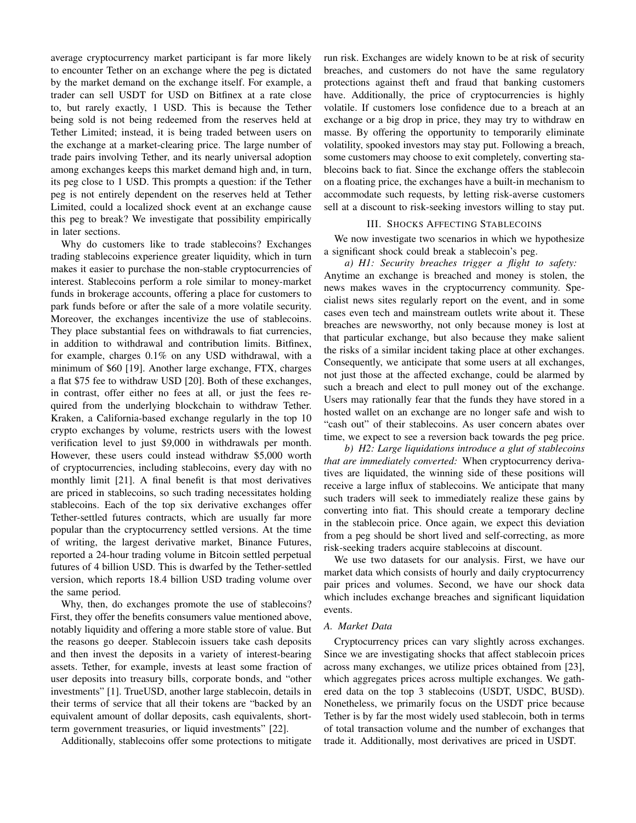average cryptocurrency market participant is far more likely to encounter Tether on an exchange where the peg is dictated by the market demand on the exchange itself. For example, a trader can sell USDT for USD on Bitfinex at a rate close to, but rarely exactly, 1 USD. This is because the Tether being sold is not being redeemed from the reserves held at Tether Limited; instead, it is being traded between users on the exchange at a market-clearing price. The large number of trade pairs involving Tether, and its nearly universal adoption among exchanges keeps this market demand high and, in turn, its peg close to 1 USD. This prompts a question: if the Tether peg is not entirely dependent on the reserves held at Tether Limited, could a localized shock event at an exchange cause this peg to break? We investigate that possibility empirically in later sections.

Why do customers like to trade stablecoins? Exchanges trading stablecoins experience greater liquidity, which in turn makes it easier to purchase the non-stable cryptocurrencies of interest. Stablecoins perform a role similar to money-market funds in brokerage accounts, offering a place for customers to park funds before or after the sale of a more volatile security. Moreover, the exchanges incentivize the use of stablecoins. They place substantial fees on withdrawals to fiat currencies, in addition to withdrawal and contribution limits. Bitfinex, for example, charges 0.1% on any USD withdrawal, with a minimum of \$60 [19]. Another large exchange, FTX, charges a flat \$75 fee to withdraw USD [20]. Both of these exchanges, in contrast, offer either no fees at all, or just the fees required from the underlying blockchain to withdraw Tether. Kraken, a California-based exchange regularly in the top 10 crypto exchanges by volume, restricts users with the lowest verification level to just \$9,000 in withdrawals per month. However, these users could instead withdraw \$5,000 worth of cryptocurrencies, including stablecoins, every day with no monthly limit [21]. A final benefit is that most derivatives are priced in stablecoins, so such trading necessitates holding stablecoins. Each of the top six derivative exchanges offer Tether-settled futures contracts, which are usually far more popular than the cryptocurrency settled versions. At the time of writing, the largest derivative market, Binance Futures, reported a 24-hour trading volume in Bitcoin settled perpetual futures of 4 billion USD. This is dwarfed by the Tether-settled version, which reports 18.4 billion USD trading volume over the same period.

Why, then, do exchanges promote the use of stablecoins? First, they offer the benefits consumers value mentioned above, notably liquidity and offering a more stable store of value. But the reasons go deeper. Stablecoin issuers take cash deposits and then invest the deposits in a variety of interest-bearing assets. Tether, for example, invests at least some fraction of user deposits into treasury bills, corporate bonds, and "other investments" [1]. TrueUSD, another large stablecoin, details in their terms of service that all their tokens are "backed by an equivalent amount of dollar deposits, cash equivalents, shortterm government treasuries, or liquid investments" [22].

Additionally, stablecoins offer some protections to mitigate

run risk. Exchanges are widely known to be at risk of security breaches, and customers do not have the same regulatory protections against theft and fraud that banking customers have. Additionally, the price of cryptocurrencies is highly volatile. If customers lose confidence due to a breach at an exchange or a big drop in price, they may try to withdraw en masse. By offering the opportunity to temporarily eliminate volatility, spooked investors may stay put. Following a breach, some customers may choose to exit completely, converting stablecoins back to fiat. Since the exchange offers the stablecoin on a floating price, the exchanges have a built-in mechanism to accommodate such requests, by letting risk-averse customers sell at a discount to risk-seeking investors willing to stay put.

## III. SHOCKS AFFECTING STABLECOINS

We now investigate two scenarios in which we hypothesize a significant shock could break a stablecoin's peg.

*a) H1: Security breaches trigger a flight to safety:* Anytime an exchange is breached and money is stolen, the news makes waves in the cryptocurrency community. Specialist news sites regularly report on the event, and in some cases even tech and mainstream outlets write about it. These breaches are newsworthy, not only because money is lost at that particular exchange, but also because they make salient the risks of a similar incident taking place at other exchanges. Consequently, we anticipate that some users at all exchanges, not just those at the affected exchange, could be alarmed by such a breach and elect to pull money out of the exchange. Users may rationally fear that the funds they have stored in a hosted wallet on an exchange are no longer safe and wish to "cash out" of their stablecoins. As user concern abates over time, we expect to see a reversion back towards the peg price.

*b) H2: Large liquidations introduce a glut of stablecoins that are immediately converted:* When cryptocurrency derivatives are liquidated, the winning side of these positions will receive a large influx of stablecoins. We anticipate that many such traders will seek to immediately realize these gains by converting into fiat. This should create a temporary decline in the stablecoin price. Once again, we expect this deviation from a peg should be short lived and self-correcting, as more risk-seeking traders acquire stablecoins at discount.

We use two datasets for our analysis. First, we have our market data which consists of hourly and daily cryptocurrency pair prices and volumes. Second, we have our shock data which includes exchange breaches and significant liquidation events.

#### *A. Market Data*

Cryptocurrency prices can vary slightly across exchanges. Since we are investigating shocks that affect stablecoin prices across many exchanges, we utilize prices obtained from [23], which aggregates prices across multiple exchanges. We gathered data on the top 3 stablecoins (USDT, USDC, BUSD). Nonetheless, we primarily focus on the USDT price because Tether is by far the most widely used stablecoin, both in terms of total transaction volume and the number of exchanges that trade it. Additionally, most derivatives are priced in USDT.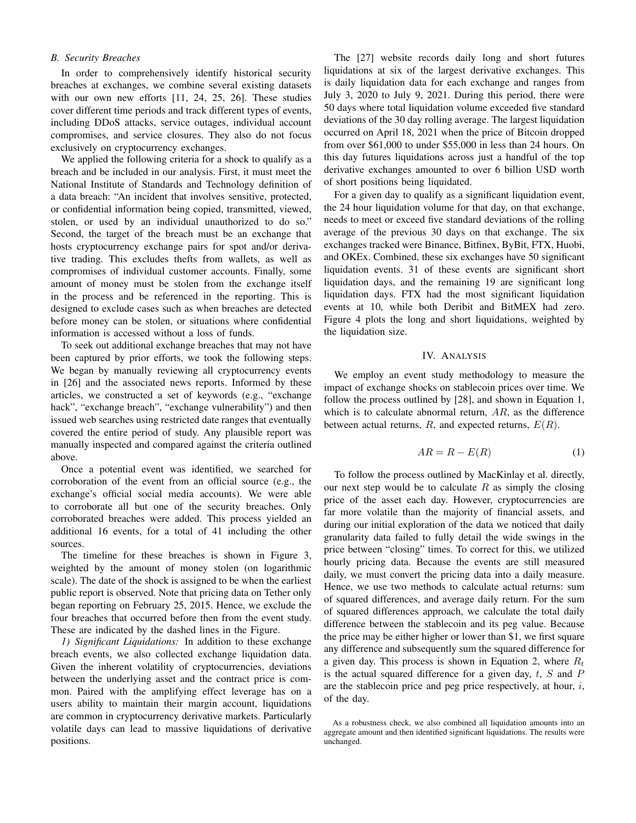## *B. Security Breaches*

In order to comprehensively identify historical security breaches at exchanges, we combine several existing datasets with our own new efforts [11, 24, 25, 26]. These studies cover different time periods and track different types of events, including DDoS attacks, service outages, individual account compromises, and service closures. They also do not focus exclusively on cryptocurrency exchanges.

We applied the following criteria for a shock to qualify as a breach and be included in our analysis. First, it must meet the National Institute of Standards and Technology definition of a data breach: "An incident that involves sensitive, protected, or confidential information being copied, transmitted, viewed, stolen, or used by an individual unauthorized to do so." Second, the target of the breach must be an exchange that hosts cryptocurrency exchange pairs for spot and/or derivative trading. This excludes thefts from wallets, as well as compromises of individual customer accounts. Finally, some amount of money must be stolen from the exchange itself in the process and be referenced in the reporting. This is designed to exclude cases such as when breaches are detected before money can be stolen, or situations where confidential information is accessed without a loss of funds.

To seek out additional exchange breaches that may not have been captured by prior efforts, we took the following steps. We began by manually reviewing all cryptocurrency events in [26] and the associated news reports. Informed by these articles, we constructed a set of keywords (e.g., "exchange hack", "exchange breach", "exchange vulnerability") and then issued web searches using restricted date ranges that eventually covered the entire period of study. Any plausible report was manually inspected and compared against the criteria outlined above.

Once a potential event was identified, we searched for corroboration of the event from an official source (e.g., the exchange's official social media accounts). We were able to corroborate all but one of the security breaches. Only corroborated breaches were added. This process yielded an additional 16 events, for a total of 41 including the other sources.

The timeline for these breaches is shown in Figure 3, weighted by the amount of money stolen (on logarithmic scale). The date of the shock is assigned to be when the earliest public report is observed. Note that pricing data on Tether only began reporting on February 25, 2015. Hence, we exclude the four breaches that occurred before then from the event study. These are indicated by the dashed lines in the Figure.

*1) Significant Liquidations:* In addition to these exchange breach events, we also collected exchange liquidation data. Given the inherent volatility of cryptocurrencies, deviations between the underlying asset and the contract price is common. Paired with the amplifying effect leverage has on a users ability to maintain their margin account, liquidations are common in cryptocurrency derivative markets. Particularly volatile days can lead to massive liquidations of derivative positions.

The [27] website records daily long and short futures liquidations at six of the largest derivative exchanges. This is daily liquidation data for each exchange and ranges from July 3, 2020 to July 9, 2021. During this period, there were 50 days where total liquidation volume exceeded five standard deviations of the 30 day rolling average. The largest liquidation occurred on April 18, 2021 when the price of Bitcoin dropped from over \$61,000 to under \$55,000 in less than 24 hours. On this day futures liquidations across just a handful of the top derivative exchanges amounted to over 6 billion USD worth of short positions being liquidated.

For a given day to qualify as a significant liquidation event, the 24 hour liquidation volume for that day, on that exchange, needs to meet or exceed five standard deviations of the rolling average of the previous 30 days on that exchange. The six exchanges tracked were Binance, Bitfinex, ByBit, FTX, Huobi, and OKEx. Combined, these six exchanges have 50 significant liquidation events. 31 of these events are significant short liquidation days, and the remaining 19 are significant long liquidation days. FTX had the most significant liquidation events at 10, while both Deribit and BitMEX had zero. Figure 4 plots the long and short liquidations, weighted by the liquidation size.

#### IV. ANALYSIS

We employ an event study methodology to measure the impact of exchange shocks on stablecoin prices over time. We follow the process outlined by [28], and shown in Equation 1, which is to calculate abnormal return,  $AR$ , as the difference between actual returns,  $R$ , and expected returns,  $E(R)$ .

$$
AR = R - E(R) \tag{1}
$$

To follow the process outlined by MacKinlay et al. directly, our next step would be to calculate  $R$  as simply the closing price of the asset each day. However, cryptocurrencies are far more volatile than the majority of financial assets, and during our initial exploration of the data we noticed that daily granularity data failed to fully detail the wide swings in the price between "closing" times. To correct for this, we utilized hourly pricing data. Because the events are still measured daily, we must convert the pricing data into a daily measure. Hence, we use two methods to calculate actual returns: sum of squared differences, and average daily return. For the sum of squared differences approach, we calculate the total daily difference between the stablecoin and its peg value. Because the price may be either higher or lower than \$1, we first square any difference and subsequently sum the squared difference for a given day. This process is shown in Equation 2, where  $R_t$ is the actual squared difference for a given day,  $t$ ,  $S$  and  $P$ are the stablecoin price and peg price respectively, at hour,  $i$ , of the day.

As a robustness check, we also combined all liquidation amounts into an aggregate amount and then identified significant liquidations. The results were unchanged.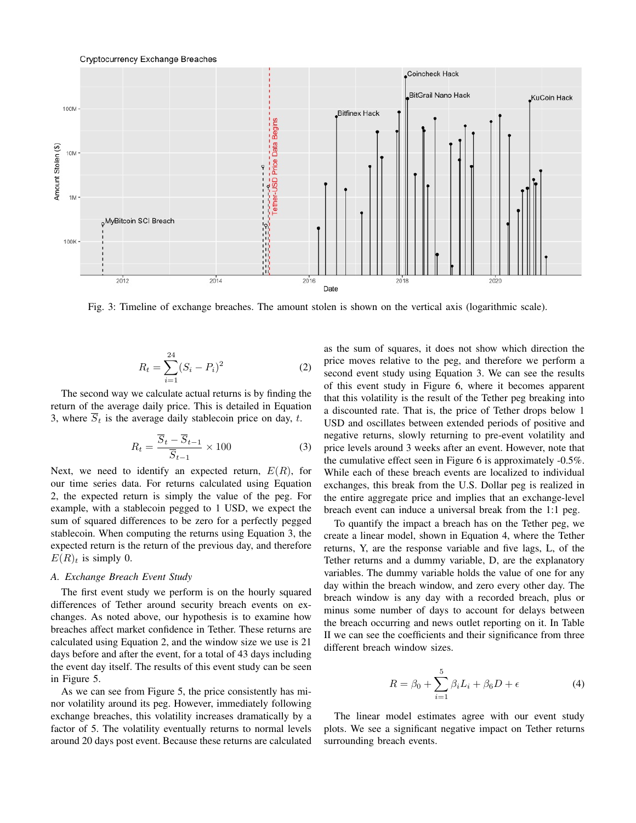#### **Cryptocurrency Exchange Breaches**



Fig. 3: Timeline of exchange breaches. The amount stolen is shown on the vertical axis (logarithmic scale).

$$
R_t = \sum_{i=1}^{24} (S_i - P_i)^2
$$
 (2)

The second way we calculate actual returns is by finding the return of the average daily price. This is detailed in Equation 3, where  $\overline{S}_t$  is the average daily stablecoin price on day, t.

$$
R_t = \frac{\overline{S}_t - \overline{S}_{t-1}}{\overline{S}_{t-1}} \times 100
$$
 (3)

Next, we need to identify an expected return,  $E(R)$ , for our time series data. For returns calculated using Equation 2, the expected return is simply the value of the peg. For example, with a stablecoin pegged to 1 USD, we expect the sum of squared differences to be zero for a perfectly pegged stablecoin. When computing the returns using Equation 3, the expected return is the return of the previous day, and therefore  $E(R)<sub>t</sub>$  is simply 0.

## *A. Exchange Breach Event Study*

The first event study we perform is on the hourly squared differences of Tether around security breach events on exchanges. As noted above, our hypothesis is to examine how breaches affect market confidence in Tether. These returns are calculated using Equation 2, and the window size we use is 21 days before and after the event, for a total of 43 days including the event day itself. The results of this event study can be seen in Figure 5.

As we can see from Figure 5, the price consistently has minor volatility around its peg. However, immediately following exchange breaches, this volatility increases dramatically by a factor of 5. The volatility eventually returns to normal levels around 20 days post event. Because these returns are calculated

as the sum of squares, it does not show which direction the price moves relative to the peg, and therefore we perform a second event study using Equation 3. We can see the results of this event study in Figure 6, where it becomes apparent that this volatility is the result of the Tether peg breaking into a discounted rate. That is, the price of Tether drops below 1 USD and oscillates between extended periods of positive and negative returns, slowly returning to pre-event volatility and price levels around 3 weeks after an event. However, note that the cumulative effect seen in Figure 6 is approximately -0.5%. While each of these breach events are localized to individual exchanges, this break from the U.S. Dollar peg is realized in the entire aggregate price and implies that an exchange-level breach event can induce a universal break from the 1:1 peg.

To quantify the impact a breach has on the Tether peg, we create a linear model, shown in Equation 4, where the Tether returns, Y, are the response variable and five lags, L, of the Tether returns and a dummy variable, D, are the explanatory variables. The dummy variable holds the value of one for any day within the breach window, and zero every other day. The breach window is any day with a recorded breach, plus or minus some number of days to account for delays between the breach occurring and news outlet reporting on it. In Table II we can see the coefficients and their significance from three different breach window sizes.

$$
R = \beta_0 + \sum_{i=1}^{5} \beta_i L_i + \beta_6 D + \epsilon \tag{4}
$$

The linear model estimates agree with our event study plots. We see a significant negative impact on Tether returns surrounding breach events.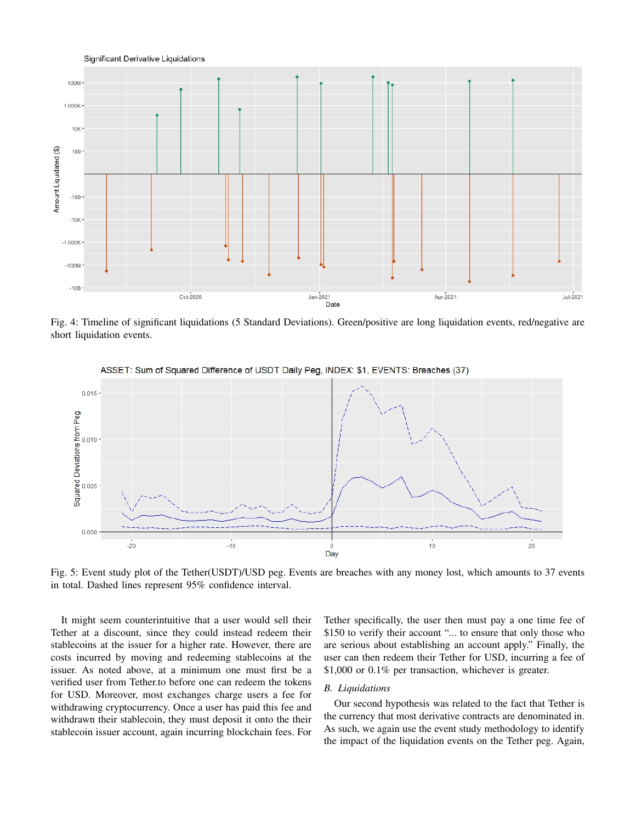

Fig. 4: Timeline of significant liquidations (5 Standard Deviations). Green/positive are long liquidation events, red/negative are short liquidation events.



ASSET: Sum of Squared Difference of USDT Daily Peg, INDEX: \$1, EVENTS: Breaches (37)

Fig. 5: Event study plot of the Tether(USDT)/USD peg. Events are breaches with any money lost, which amounts to 37 events in total. Dashed lines represent 95% confidence interval.

It might seem counterintuitive that a user would sell their Tether at a discount, since they could instead redeem their stablecoins at the issuer for a higher rate. However, there are costs incurred by moving and redeeming stablecoins at the issuer. As noted above, at a minimum one must first be a verified user from Tether.to before one can redeem the tokens for USD. Moreover, most exchanges charge users a fee for withdrawing cryptocurrency. Once a user has paid this fee and withdrawn their stablecoin, they must deposit it onto the their stablecoin issuer account, again incurring blockchain fees. For Tether specifically, the user then must pay a one time fee of \$150 to verify their account "... to ensure that only those who are serious about establishing an account apply." Finally, the user can then redeem their Tether for USD, incurring a fee of \$1,000 or 0.1% per transaction, whichever is greater.

# *B. Liquidations*

Our second hypothesis was related to the fact that Tether is the currency that most derivative contracts are denominated in. As such, we again use the event study methodology to identify the impact of the liquidation events on the Tether peg. Again,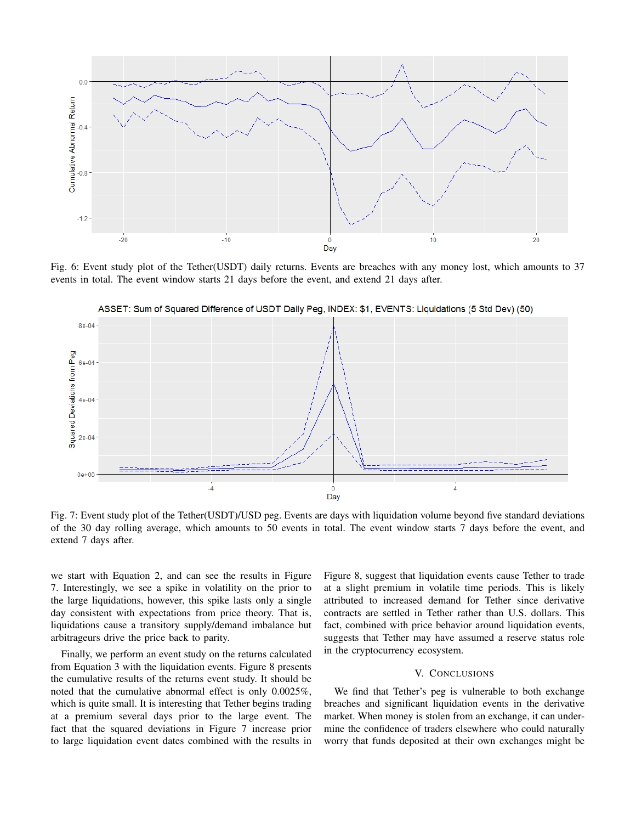

Fig. 6: Event study plot of the Tether(USDT) daily returns. Events are breaches with any money lost, which amounts to 37 events in total. The event window starts 21 days before the event, and extend 21 days after.



ASSET: Sum of Squared Difference of USDT Daily Peg, INDEX: \$1, EVENTS: Liquidations (5 Std Dev) (50)

Fig. 7: Event study plot of the Tether(USDT)/USD peg. Events are days with liquidation volume beyond five standard deviations of the 30 day rolling average, which amounts to 50 events in total. The event window starts 7 days before the event, and extend 7 days after.

we start with Equation 2, and can see the results in Figure 7. Interestingly, we see a spike in volatility on the prior to the large liquidations, however, this spike lasts only a single day consistent with expectations from price theory. That is, liquidations cause a transitory supply/demand imbalance but arbitrageurs drive the price back to parity.

Finally, we perform an event study on the returns calculated from Equation 3 with the liquidation events. Figure 8 presents the cumulative results of the returns event study. It should be noted that the cumulative abnormal effect is only 0.0025%, which is quite small. It is interesting that Tether begins trading at a premium several days prior to the large event. The fact that the squared deviations in Figure 7 increase prior to large liquidation event dates combined with the results in Figure 8, suggest that liquidation events cause Tether to trade at a slight premium in volatile time periods. This is likely attributed to increased demand for Tether since derivative contracts are settled in Tether rather than U.S. dollars. This fact, combined with price behavior around liquidation events, suggests that Tether may have assumed a reserve status role in the cryptocurrency ecosystem.

# V. CONCLUSIONS

We find that Tether's peg is vulnerable to both exchange breaches and significant liquidation events in the derivative market. When money is stolen from an exchange, it can undermine the confidence of traders elsewhere who could naturally worry that funds deposited at their own exchanges might be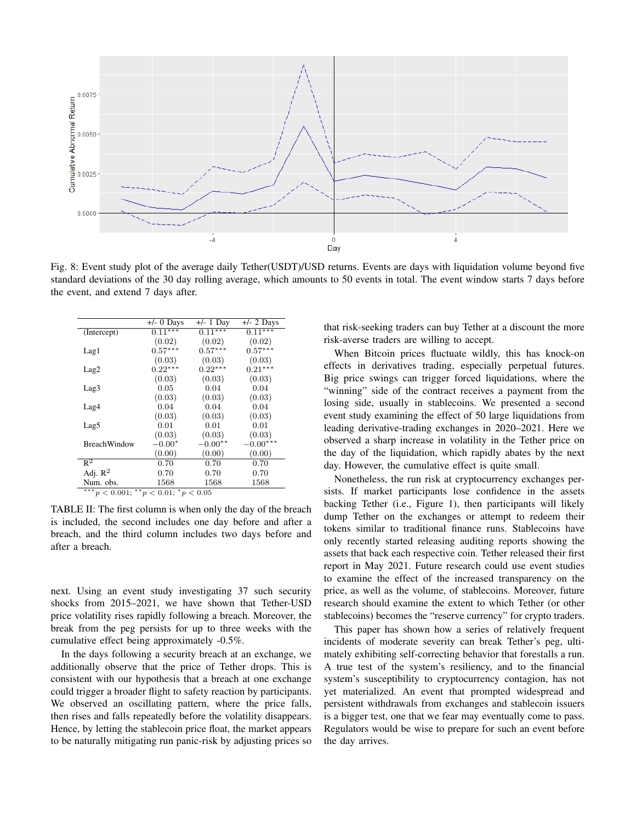

Fig. 8: Event study plot of the average daily Tether(USDT)/USD returns. Events are days with liquidation volume beyond five standard deviations of the 30 day rolling average, which amounts to 50 events in total. The event window starts 7 days before the event, and extend 7 days after.

|                                                 | $+/-$ 0 Days | $+/- 1$ Day | $+/- 2$ Days |  |  |  |
|-------------------------------------------------|--------------|-------------|--------------|--|--|--|
| (Intercept)                                     | $0.11***$    | $0.11***$   | $0.11***$    |  |  |  |
|                                                 | (0.02)       | (0.02)      | (0.02)       |  |  |  |
| Lag1                                            | $0.57***$    | $0.57***$   | $0.57***$    |  |  |  |
|                                                 | (0.03)       | (0.03)      | (0.03)       |  |  |  |
| Lag2                                            | $0.22***$    | $0.22***$   | $0.21***$    |  |  |  |
|                                                 | (0.03)       | (0.03)      | (0.03)       |  |  |  |
| Lag3                                            | 0.05         | 0.04        | 0.04         |  |  |  |
|                                                 | (0.03)       | (0.03)      | (0.03)       |  |  |  |
| Lag4                                            | 0.04         | 0.04        | 0.04         |  |  |  |
|                                                 | (0.03)       | (0.03)      | (0.03)       |  |  |  |
| Lag5                                            | 0.01         | 0.01        | 0.01         |  |  |  |
|                                                 | (0.03)       | (0.03)      | (0.03)       |  |  |  |
| <b>BreachWindow</b>                             | $-0.00*$     | $-0.00**$   | $-0.00***$   |  |  |  |
|                                                 | (0.00)       | (0.00)      | (0.00)       |  |  |  |
| $\overline{\mathbb{R}^2}$                       | 0.70         | 0.70        | 0.70         |  |  |  |
| Adj. $R^2$                                      | 0.70         | 0.70        | 0.70         |  |  |  |
| Num. obs.                                       | 1568         | 1568        | 1568         |  |  |  |
| *** $\sim$ 0.001, ** $\sim$ 0.01, * $\sim$ 0.05 |              |             |              |  |  |  |

\*\*\* $p < 0.001$ ; \*\* $p < 0.01$ ; \* $p < 0.05$ 

TABLE II: The first column is when only the day of the breach is included, the second includes one day before and after a breach, and the third column includes two days before and after a breach.

next. Using an event study investigating 37 such security shocks from 2015–2021, we have shown that Tether-USD price volatility rises rapidly following a breach. Moreover, the break from the peg persists for up to three weeks with the cumulative effect being approximately -0.5%.

In the days following a security breach at an exchange, we additionally observe that the price of Tether drops. This is consistent with our hypothesis that a breach at one exchange could trigger a broader flight to safety reaction by participants. We observed an oscillating pattern, where the price falls, then rises and falls repeatedly before the volatility disappears. Hence, by letting the stablecoin price float, the market appears to be naturally mitigating run panic-risk by adjusting prices so

that risk-seeking traders can buy Tether at a discount the more risk-averse traders are willing to accept.

When Bitcoin prices fluctuate wildly, this has knock-on effects in derivatives trading, especially perpetual futures. Big price swings can trigger forced liquidations, where the "winning" side of the contract receives a payment from the losing side, usually in stablecoins. We presented a second event study examining the effect of 50 large liquidations from leading derivative-trading exchanges in 2020–2021. Here we observed a sharp increase in volatility in the Tether price on the day of the liquidation, which rapidly abates by the next day. However, the cumulative effect is quite small.

Nonetheless, the run risk at cryptocurrency exchanges persists. If market participants lose confidence in the assets backing Tether (i.e., Figure 1), then participants will likely dump Tether on the exchanges or attempt to redeem their tokens similar to traditional finance runs. Stablecoins have only recently started releasing auditing reports showing the assets that back each respective coin. Tether released their first report in May 2021. Future research could use event studies to examine the effect of the increased transparency on the price, as well as the volume, of stablecoins. Moreover, future research should examine the extent to which Tether (or other stablecoins) becomes the "reserve currency" for crypto traders.

This paper has shown how a series of relatively frequent incidents of moderate severity can break Tether's peg, ultimately exhibiting self-correcting behavior that forestalls a run. A true test of the system's resiliency, and to the financial system's susceptibility to cryptocurrency contagion, has not yet materialized. An event that prompted widespread and persistent withdrawals from exchanges and stablecoin issuers is a bigger test, one that we fear may eventually come to pass. Regulators would be wise to prepare for such an event before the day arrives.